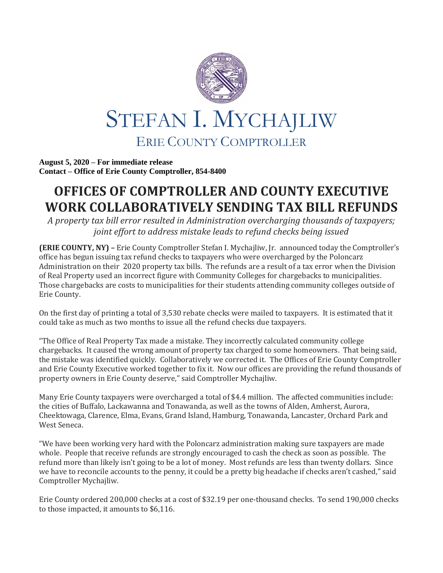

**August 5, 2020 – For immediate release Contact – Office of Erie County Comptroller, 854-8400**

## **OFFICES OF COMPTROLLER AND COUNTY EXECUTIVE WORK COLLABORATIVELY SENDING TAX BILL REFUNDS**

*A property tax bill error resulted in Administration overcharging thousands of taxpayers; joint effort to address mistake leads to refund checks being issued*

**(ERIE COUNTY, NY) –** Erie County Comptroller Stefan I. Mychajliw, Jr. announced today the Comptroller's office has begun issuing tax refund checks to taxpayers who were overcharged by the Poloncarz Administration on their 2020 property tax bills. The refunds are a result of a tax error when the Division of Real Property used an incorrect figure with Community Colleges for chargebacks to municipalities. Those chargebacks are costs to municipalities for their students attending community colleges outside of Erie County.

On the first day of printing a total of 3,530 rebate checks were mailed to taxpayers. It is estimated that it could take as much as two months to issue all the refund checks due taxpayers.

"The Office of Real Property Tax made a mistake. They incorrectly calculated community college chargebacks. It caused the wrong amount of property tax charged to some homeowners. That being said, the mistake was identified quickly. Collaboratively we corrected it. The Offices of Erie County Comptroller and Erie County Executive worked together to fix it. Now our offices are providing the refund thousands of property owners in Erie County deserve," said Comptroller Mychajliw.

Many Erie County taxpayers were overcharged a total of \$4.4 million. The affected communities include: the cities of Buffalo, Lackawanna and Tonawanda, as well as the towns of Alden, Amherst, Aurora, Cheektowaga, Clarence, Elma, Evans, Grand Island, Hamburg, Tonawanda, Lancaster, Orchard Park and West Seneca.

"We have been working very hard with the Poloncarz administration making sure taxpayers are made whole. People that receive refunds are strongly encouraged to cash the check as soon as possible. The refund more than likely isn't going to be a lot of money. Most refunds are less than twenty dollars. Since we have to reconcile accounts to the penny, it could be a pretty big headache if checks aren't cashed," said Comptroller Mychajliw.

Erie County ordered 200,000 checks at a cost of \$32.19 per one-thousand checks. To send 190,000 checks to those impacted, it amounts to \$6,116.